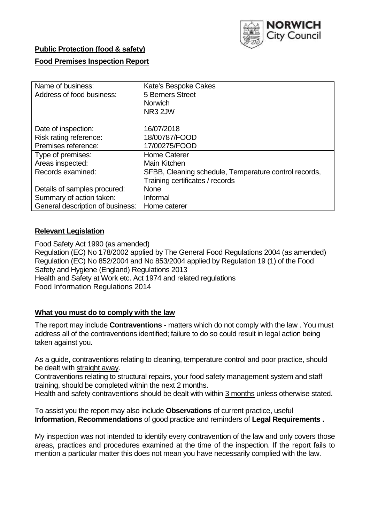

# **Public Protection (food & safety)**

# **Food Premises Inspection Report**

| Name of business:                | Kate's Bespoke Cakes                                  |
|----------------------------------|-------------------------------------------------------|
| Address of food business:        | 5 Berners Street                                      |
|                                  | <b>Norwich</b>                                        |
|                                  | NR <sub>3</sub> 2JW                                   |
| Date of inspection:              | 16/07/2018                                            |
| Risk rating reference:           | 18/00787/FOOD                                         |
| Premises reference:              | 17/00275/FOOD                                         |
| Type of premises:                | <b>Home Caterer</b>                                   |
| Areas inspected:                 | Main Kitchen                                          |
| Records examined:                | SFBB, Cleaning schedule, Temperature control records, |
|                                  | Training certificates / records                       |
| Details of samples procured:     | <b>None</b>                                           |
| Summary of action taken:         | Informal                                              |
| General description of business: | Home caterer                                          |

# **Relevant Legislation**

Food Safety Act 1990 (as amended) Regulation (EC) No 178/2002 applied by The General Food Regulations 2004 (as amended) Regulation (EC) No 852/2004 and No 853/2004 applied by Regulation 19 (1) of the Food Safety and Hygiene (England) Regulations 2013 Health and Safety at Work etc. Act 1974 and related regulations Food Information Regulations 2014

## **What you must do to comply with the law**

The report may include **Contraventions** - matters which do not comply with the law . You must address all of the contraventions identified; failure to do so could result in legal action being taken against you.

As a guide, contraventions relating to cleaning, temperature control and poor practice, should be dealt with straight away.

Contraventions relating to structural repairs, your food safety management system and staff training, should be completed within the next 2 months.

Health and safety contraventions should be dealt with within 3 months unless otherwise stated.

To assist you the report may also include **Observations** of current practice, useful **Information**, **Recommendations** of good practice and reminders of **Legal Requirements .**

My inspection was not intended to identify every contravention of the law and only covers those areas, practices and procedures examined at the time of the inspection. If the report fails to mention a particular matter this does not mean you have necessarily complied with the law.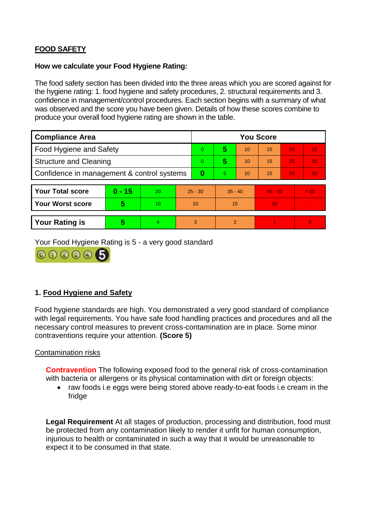# **FOOD SAFETY**

### **How we calculate your Food Hygiene Rating:**

The food safety section has been divided into the three areas which you are scored against for the hygiene rating: 1. food hygiene and safety procedures, 2. structural requirements and 3. confidence in management/control procedures. Each section begins with a summary of what was observed and the score you have been given. Details of how these scores combine to produce your overall food hygiene rating are shown in the table.

| <b>Compliance Area</b>                     |          |    |           | <b>You Score</b> |                |    |           |    |          |  |  |
|--------------------------------------------|----------|----|-----------|------------------|----------------|----|-----------|----|----------|--|--|
| Food Hygiene and Safety                    |          |    |           | $\Omega$         | 5              | 10 | 15        | 20 | 25       |  |  |
| <b>Structure and Cleaning</b>              |          |    | $\Omega$  | 5                | 10             | 15 | 20        | 25 |          |  |  |
| Confidence in management & control systems |          |    | $\bf{0}$  | 5                | 10             | 15 | 20        | 30 |          |  |  |
|                                            |          |    |           |                  |                |    |           |    |          |  |  |
| <b>Your Total score</b>                    | $0 - 15$ | 20 | $25 - 30$ |                  | $35 - 40$      |    | $45 - 50$ |    | > 50     |  |  |
| <b>Your Worst score</b>                    | 5        | 10 | 10        |                  | 15             |    | 20        |    |          |  |  |
|                                            |          |    |           |                  |                |    |           |    |          |  |  |
| <b>Your Rating is</b>                      | 5        | 4  |           | 3                | $\overline{2}$ |    |           |    | $\Omega$ |  |  |

Your Food Hygiene Rating is 5 - a very good standard



# **1. Food Hygiene and Safety**

Food hygiene standards are high. You demonstrated a very good standard of compliance with legal requirements. You have safe food handling practices and procedures and all the necessary control measures to prevent cross-contamination are in place. Some minor contraventions require your attention. **(Score 5)**

## Contamination risks

**Contravention** The following exposed food to the general risk of cross-contamination with bacteria or allergens or its physical contamination with dirt or foreign objects:

• raw foods i.e eggs were being stored above ready-to-eat foods i.e cream in the fridge

**Legal Requirement** At all stages of production, processing and distribution, food must be protected from any contamination likely to render it unfit for human consumption, injurious to health or contaminated in such a way that it would be unreasonable to expect it to be consumed in that state.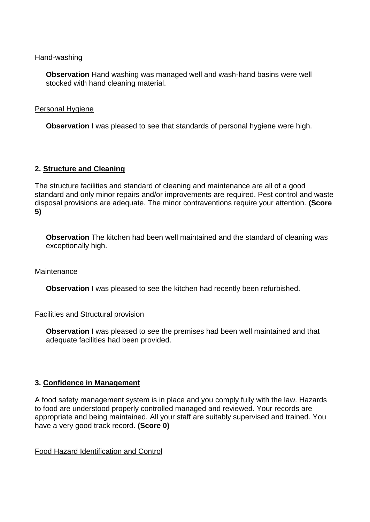#### Hand-washing

**Observation** Hand washing was managed well and wash-hand basins were well stocked with hand cleaning material.

#### Personal Hygiene

**Observation** I was pleased to see that standards of personal hygiene were high.

## **2. Structure and Cleaning**

The structure facilities and standard of cleaning and maintenance are all of a good standard and only minor repairs and/or improvements are required. Pest control and waste disposal provisions are adequate. The minor contraventions require your attention. **(Score 5)**

**Observation** The kitchen had been well maintained and the standard of cleaning was exceptionally high.

## **Maintenance**

**Observation** I was pleased to see the kitchen had recently been refurbished.

## Facilities and Structural provision

**Observation** I was pleased to see the premises had been well maintained and that adequate facilities had been provided.

## **3. Confidence in Management**

A food safety management system is in place and you comply fully with the law. Hazards to food are understood properly controlled managed and reviewed. Your records are appropriate and being maintained. All your staff are suitably supervised and trained. You have a very good track record. **(Score 0)**

Food Hazard Identification and Control